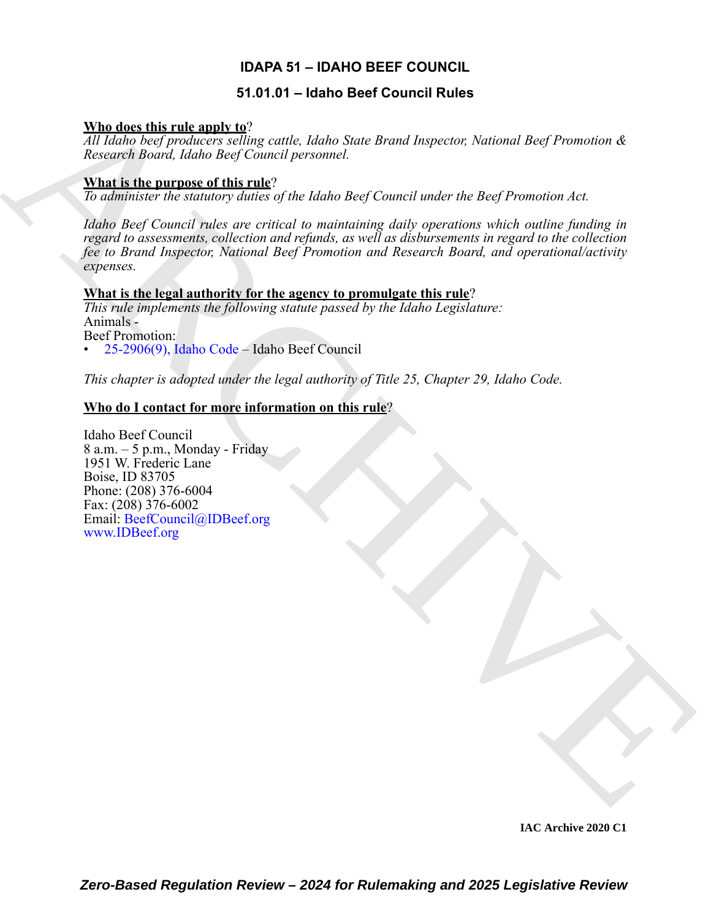## **IDAPA 51 – IDAHO BEEF COUNCIL**

## **51.01.01 – Idaho Beef Council Rules**

## **Who does this rule apply to**?

*All Idaho beef producers selling cattle, Idaho State Brand Inspector, National Beef Promotion & Research Board, Idaho Beef Council personnel.*

## **What is the purpose of this rule**?

*To administer the statutory duties of the Idaho Beef Council under the Beef Promotion Act.*

Who does this rule angle  $\frac{M}{N}$ <br>
Also conce Regionships that<br>
Also conce Regions (see the first personnel)<br>
Also conce Regions (see the Concert personnel)<br> **Share in the cannonic of this rule angle and transferse the R** *Idaho Beef Council rules are critical to maintaining daily operations which outline funding in regard to assessments, collection and refunds, as well as disbursements in regard to the collection fee to Brand Inspector, National Beef Promotion and Research Board, and operational/activity expenses.*

## **What is the legal authority for the agency to promulgate this rule**?

*This rule implements the following statute passed by the Idaho Legislature:* Animals - Beef Promotion: • 25-2906(9), Idaho Code – Idaho Beef Council

*This chapter is adopted under the legal authority of Title 25, Chapter 29, Idaho Code.* 

## **Who do I contact for more information on this rule**?

Idaho Beef Council 8 a.m. – 5 p.m., Monday - Friday 1951 W. Frederic Lane Boise, ID 83705 Phone: (208) 376-6004 Fax: (208) 376-6002 Email: BeefCouncil@IDBeef.org www.IDBeef.org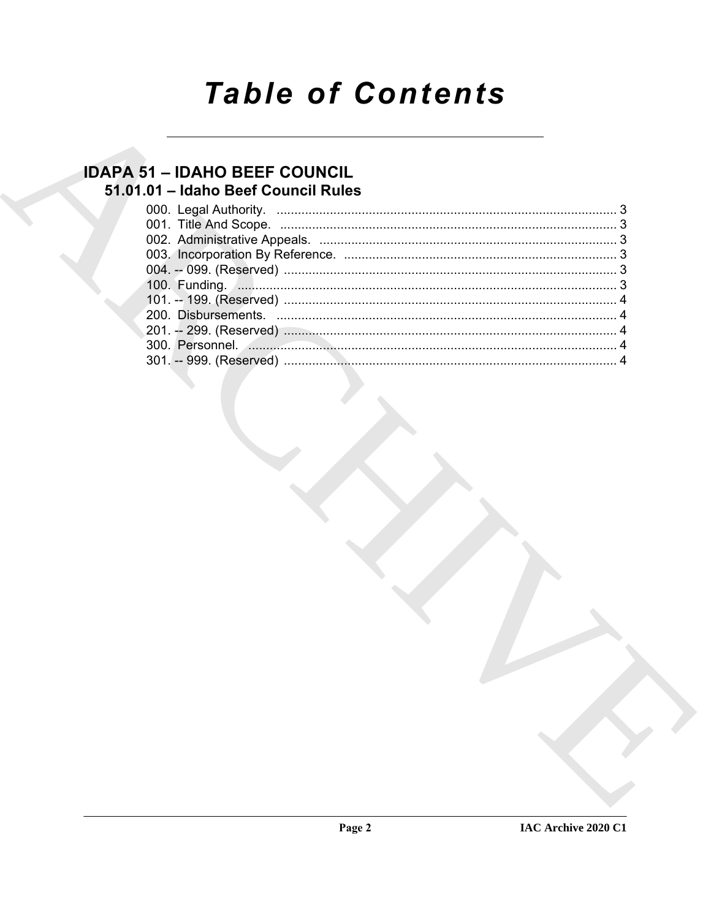# **Table of Contents**

## **IDAPA 51 - IDAHO BEEF COUNCIL** 51.01.01 - Idaho Beef Council Rules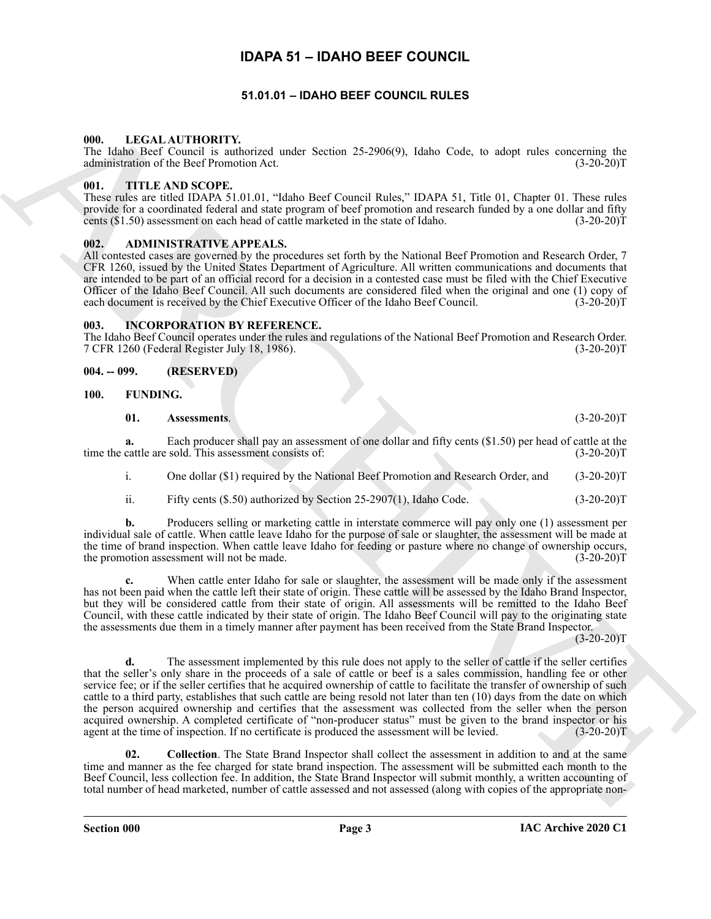## **IDAPA 51 – IDAHO BEEF COUNCIL**

#### **51.01.01 – IDAHO BEEF COUNCIL RULES**

#### <span id="page-2-13"></span><span id="page-2-2"></span><span id="page-2-1"></span><span id="page-2-0"></span>**000. LEGAL AUTHORITY.**

The Idaho Beef Council is authorized under Section 25-2906(9), Idaho Code, to adopt rules concerning the administration of the Beef Promotion Act. (3-20-20)T

#### <span id="page-2-14"></span><span id="page-2-3"></span>**001. TITLE AND SCOPE.**

These rules are titled IDAPA 51.01.01, "Idaho Beef Council Rules," IDAPA 51, Title 01, Chapter 01. These rules provide for a coordinated federal and state program of beef promotion and research funded by a one dollar and fifty cents  $(\$1.50)$  assessment on each head of cattle marketed in the state of Idaho.  $(3-20-20)$ T

#### <span id="page-2-8"></span><span id="page-2-4"></span>**002. ADMINISTRATIVE APPEALS.**

All contested cases are governed by the procedures set forth by the National Beef Promotion and Research Order, 7 CFR 1260, issued by the United States Department of Agriculture. All written communications and documents that are intended to be part of an official record for a decision in a contested case must be filed with the Chief Executive Officer of the Idaho Beef Council. All such documents are considered filed when the original and one (1) copy of each document is received by the Chief Executive Officer of the Idaho Beef Council. (3-20-20)T

#### <span id="page-2-12"></span><span id="page-2-5"></span>**003. INCORPORATION BY REFERENCE.**

The Idaho Beef Council operates under the rules and regulations of the National Beef Promotion and Research Order. 7 CFR 1260 (Federal Register July 18, 1986). (3-20-20)T

#### <span id="page-2-6"></span>**004. -- 099. (RESERVED)**

#### <span id="page-2-7"></span>**100. FUNDING.**

#### <span id="page-2-10"></span><span id="page-2-9"></span>**01. Assessments**. (3-20-20)T

**a.** Each producer shall pay an assessment of one dollar and fifty cents (\$1.50) per head of cattle at the cattle are sold. This assessment consists of: (3-20-20) time the cattle are sold. This assessment consists of:

i. One dollar (\$1) required by the National Beef Promotion and Research Order, and (3-20-20)T

ii. Fifty cents (\$.50) authorized by Section 25-2907(1), Idaho Code. (3-20-20)T

**b.** Producers selling or marketing cattle in interstate commerce will pay only one (1) assessment per individual sale of cattle. When cattle leave Idaho for the purpose of sale or slaughter, the assessment will be made at the time of brand inspection. When cattle leave Idaho for feeding or pasture where no change of ownership occurs, the promotion assessment will not be made. (3-20-20)T

When cattle enter Idaho for sale or slaughter, the assessment will be made only if the assessment has not been paid when the cattle left their state of origin. These cattle will be assessed by the Idaho Brand Inspector, but they will be considered cattle from their state of origin. All assessments will be remitted to the Idaho Beef Council, with these cattle indicated by their state of origin. The Idaho Beef Council will pay to the originating state the assessments due them in a timely manner after payment has been received from the State Brand Inspector.

 $(3-20-20)T$ 

URE LABACH CORRECTED TRANSPORTEERS were the continued and corrected the main of the state of the state of the state of the state of the state of the state of the state of the state of the state of the state of the state o **d.** The assessment implemented by this rule does not apply to the seller of cattle if the seller certifies that the seller's only share in the proceeds of a sale of cattle or beef is a sales commission, handling fee or other service fee; or if the seller certifies that he acquired ownership of cattle to facilitate the transfer of ownership of such cattle to a third party, establishes that such cattle are being resold not later than ten (10) days from the date on which the person acquired ownership and certifies that the assessment was collected from the seller when the person acquired ownership. A completed certificate of "non-producer status" must be given to the brand inspector or his agent at the time of inspection. If no certificate is produced the assessment will be levied. (3-20-20)T

<span id="page-2-11"></span>**02. Collection**. The State Brand Inspector shall collect the assessment in addition to and at the same time and manner as the fee charged for state brand inspection. The assessment will be submitted each month to the Beef Council, less collection fee. In addition, the State Brand Inspector will submit monthly, a written accounting of total number of head marketed, number of cattle assessed and not assessed (along with copies of the appropriate non-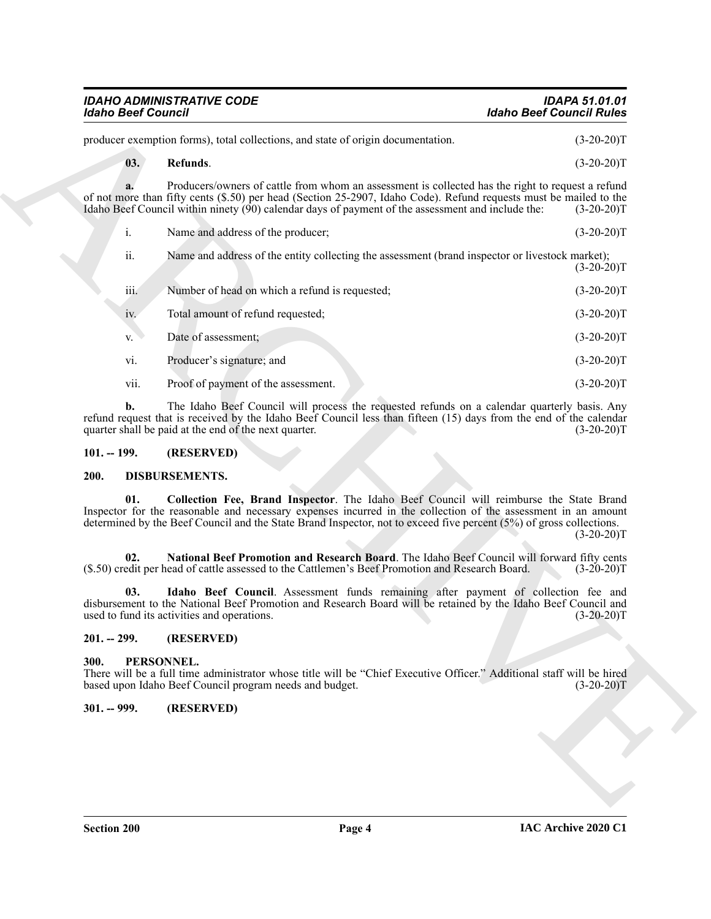| <b>IDAHO ADMINISTRATIVE CODE</b> | <b>IDAPA 51.01.01</b>    |
|----------------------------------|--------------------------|
| Idaho Beef Council               | Idaho Beef Council Rules |
|                                  |                          |

#### <span id="page-3-9"></span>**03. Refunds**. (3-20-20)T

| <b>Idaho Beef Council</b> |                                                                                                                                                                                                                                                                                                                                | <b>Idaho Beef Council Rules</b> |
|---------------------------|--------------------------------------------------------------------------------------------------------------------------------------------------------------------------------------------------------------------------------------------------------------------------------------------------------------------------------|---------------------------------|
|                           | producer exemption forms), total collections, and state of origin documentation.                                                                                                                                                                                                                                               | $(3-20-20)T$                    |
| 03.                       | Refunds.                                                                                                                                                                                                                                                                                                                       | $(3-20-20)T$                    |
| a.                        | Producers/owners of cattle from whom an assessment is collected has the right to request a refund<br>of not more than fifty cents (\$.50) per head (Section 25-2907, Idaho Code). Refund requests must be mailed to the<br>Idaho Beef Council within ninety (90) calendar days of payment of the assessment and include the:   | $(3-20-20)T$                    |
| i.                        | Name and address of the producer;                                                                                                                                                                                                                                                                                              | $(3-20-20)T$                    |
| ii.                       | Name and address of the entity collecting the assessment (brand inspector or livestock market);                                                                                                                                                                                                                                | $(3-20-20)T$                    |
| iii.                      | Number of head on which a refund is requested;                                                                                                                                                                                                                                                                                 | $(3-20-20)T$                    |
| iv.                       | Total amount of refund requested;                                                                                                                                                                                                                                                                                              | $(3-20-20)T$                    |
| V.                        | Date of assessment;                                                                                                                                                                                                                                                                                                            | $(3-20-20)T$                    |
| vi.                       | Producer's signature; and                                                                                                                                                                                                                                                                                                      | $(3-20-20)T$                    |
| vii.                      | Proof of payment of the assessment.                                                                                                                                                                                                                                                                                            | $(3-20-20)T$                    |
| b.                        | The Idaho Beef Council will process the requested refunds on a calendar quarterly basis. Any<br>refund request that is received by the Idaho Beef Council less than fifteen (15) days from the end of the calendar<br>quarter shall be paid at the end of the next quarter.                                                    | $(3-20-20)T$                    |
| $101. - 199.$             | (RESERVED)                                                                                                                                                                                                                                                                                                                     |                                 |
| 200.                      | DISBURSEMENTS.                                                                                                                                                                                                                                                                                                                 |                                 |
| 01.                       | Collection Fee, Brand Inspector. The Idaho Beef Council will reimburse the State Brand<br>Inspector for the reasonable and necessary expenses incurred in the collection of the assessment in an amount<br>determined by the Beef Council and the State Brand Inspector, not to exceed five percent (5%) of gross collections. | $(3-20-20)T$                    |
| 02.                       | National Beef Promotion and Research Board. The Idaho Beef Council will forward fifty cents<br>(\$.50) credit per head of cattle assessed to the Cattlemen's Beef Promotion and Research Board.                                                                                                                                | $(3-20-20)T$                    |
| 03.                       | Idaho Beef Council. Assessment funds remaining after payment of collection fee and<br>disbursement to the National Beef Promotion and Research Board will be retained by the Idaho Beef Council and<br>used to fund its activities and operations.                                                                             | $(3-20-20)T$                    |
| $201. - 299.$             | (RESERVED)                                                                                                                                                                                                                                                                                                                     |                                 |
| 300.                      | PERSONNEL.<br>There will be a full time administrator whose title will be "Chief Executive Officer." Additional staff will be hired<br>based upon Idaho Beef Council program needs and budget.                                                                                                                                 | $(3-20-20)T$                    |
| $301. - 999.$             | (RESERVED)                                                                                                                                                                                                                                                                                                                     |                                 |
|                           |                                                                                                                                                                                                                                                                                                                                |                                 |
|                           |                                                                                                                                                                                                                                                                                                                                |                                 |
|                           |                                                                                                                                                                                                                                                                                                                                |                                 |

#### <span id="page-3-0"></span>**101. -- 199. (RESERVED)**

#### <span id="page-3-8"></span><span id="page-3-6"></span><span id="page-3-5"></span><span id="page-3-1"></span>**200. DISBURSEMENTS.**

### <span id="page-3-7"></span><span id="page-3-2"></span>**201. -- 299. (RESERVED)**

#### <span id="page-3-10"></span><span id="page-3-3"></span>**300. PERSONNEL.**

#### <span id="page-3-4"></span>**301. -- 999. (RESERVED)**